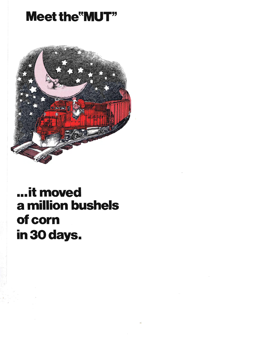## **Meet the "MUT"**



## ...it moved a million bushels of corn in 30 days.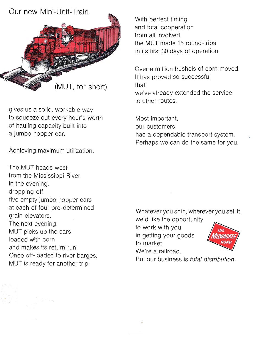## Our new Mini-Unit-Train



gives us a solid, workable way to squeeze out every hour's worth of hauling capacity built into a jumbo hopper car.

Achieving maximum utilization.

The MUT heads west from the Mississippi River in the evening, dropping off five empty jumbo hopper cars at each of four pre-determined grain elevators. The next evening, MUT picks up the cars loaded with corn and makes its return run. Once off-loaded to river barges, MUT is ready for another trip.

With perfect timing and total cooperation from all involved, the MUT made 15 round-trips in its first 30 days of operation.

Over a million bushels of corn moved. It has proved so successful that we've already extended the service to other routes.

Most important, our customers had a dependable transport system. Perhaps we can do the same for you.

Whatever you ship, wherever you sell it, we'd like the opportunity

to work with you in getting your goods to market.

We're a railroad.

But our business is total distribution.